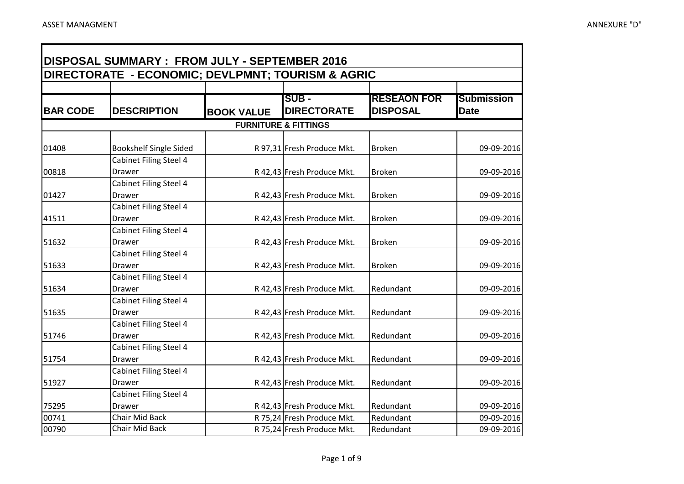**TE** 

÷

| DISPOSAL SUMMARY : FROM JULY - SEPTEMBER 2016 |                                                   |                   |                                                          |                                       |                                  |  |
|-----------------------------------------------|---------------------------------------------------|-------------------|----------------------------------------------------------|---------------------------------------|----------------------------------|--|
|                                               | DIRECTORATE - ECONOMIC; DEVLPMNT; TOURISM & AGRIC |                   |                                                          |                                       |                                  |  |
| <b>BAR CODE</b>                               | <b>IDESCRIPTION</b>                               | <b>BOOK VALUE</b> | <b>SUB -</b><br><b>DIRECTORATE</b>                       | <b>RESEAON FOR</b><br><b>DISPOSAL</b> | <b>Submission</b><br><b>Date</b> |  |
|                                               |                                                   |                   | <b>FURNITURE &amp; FITTINGS</b>                          |                                       |                                  |  |
| 01408                                         | <b>Bookshelf Single Sided</b>                     |                   | R 97,31 Fresh Produce Mkt.                               | <b>Broken</b>                         | 09-09-2016                       |  |
| 00818                                         | <b>Cabinet Filing Steel 4</b><br><b>Drawer</b>    |                   | R 42,43 Fresh Produce Mkt.                               | <b>Broken</b>                         | 09-09-2016                       |  |
| 01427                                         | Cabinet Filing Steel 4<br>Drawer                  |                   | R 42,43 Fresh Produce Mkt.                               | <b>Broken</b>                         | 09-09-2016                       |  |
| 41511                                         | Cabinet Filing Steel 4<br>Drawer                  |                   | R 42,43 Fresh Produce Mkt.                               | <b>Broken</b>                         | 09-09-2016                       |  |
| 51632                                         | Cabinet Filing Steel 4<br>Drawer                  |                   | R 42,43 Fresh Produce Mkt.                               | <b>Broken</b>                         | 09-09-2016                       |  |
| 51633                                         | Cabinet Filing Steel 4<br>Drawer                  |                   | R 42,43 Fresh Produce Mkt.                               | <b>Broken</b>                         | 09-09-2016                       |  |
| 51634                                         | Cabinet Filing Steel 4<br>Drawer                  |                   | R 42,43 Fresh Produce Mkt.                               | Redundant                             | 09-09-2016                       |  |
| 51635                                         | Cabinet Filing Steel 4<br>Drawer                  |                   | R 42,43 Fresh Produce Mkt.                               | Redundant                             | 09-09-2016                       |  |
| 51746                                         | Cabinet Filing Steel 4<br><b>Drawer</b>           |                   | R 42,43 Fresh Produce Mkt.                               | Redundant                             | 09-09-2016                       |  |
| 51754                                         | Cabinet Filing Steel 4<br>Drawer                  |                   | R 42,43 Fresh Produce Mkt.                               | Redundant                             | 09-09-2016                       |  |
| 51927                                         | <b>Cabinet Filing Steel 4</b><br>Drawer           |                   | R 42,43 Fresh Produce Mkt.                               | Redundant                             | 09-09-2016                       |  |
| 75295                                         | Cabinet Filing Steel 4<br>Drawer                  |                   | R 42,43 Fresh Produce Mkt.                               | Redundant                             | 09-09-2016                       |  |
| 00741<br>00790                                | Chair Mid Back<br><b>Chair Mid Back</b>           |                   | R 75,24 Fresh Produce Mkt.<br>R 75,24 Fresh Produce Mkt. | Redundant<br>Redundant                | 09-09-2016<br>09-09-2016         |  |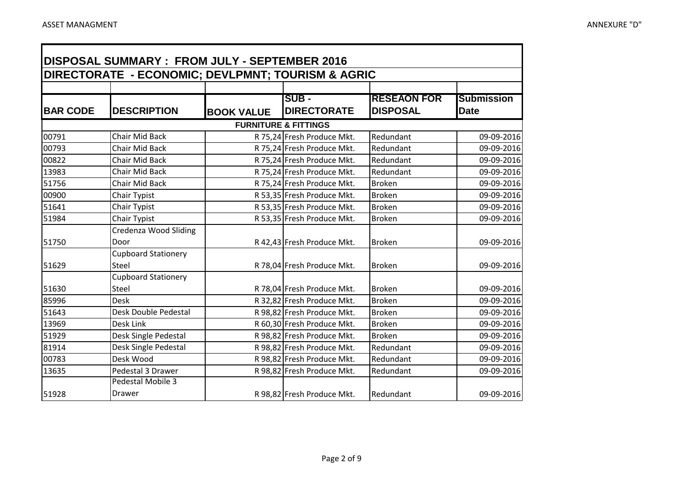Œ

۰

|                 | <b>DISPOSAL SUMMARY: FROM JULY - SEPTEMBER 2016</b> |                   |                                 |                    |                   |  |  |
|-----------------|-----------------------------------------------------|-------------------|---------------------------------|--------------------|-------------------|--|--|
|                 | DIRECTORATE - ECONOMIC; DEVLPMNT; TOURISM & AGRIC   |                   |                                 |                    |                   |  |  |
|                 |                                                     |                   |                                 |                    |                   |  |  |
|                 |                                                     |                   | <b>ISUB -</b>                   | <b>RESEAON FOR</b> | <b>Submission</b> |  |  |
| <b>BAR CODE</b> | <b>DESCRIPTION</b>                                  | <b>BOOK VALUE</b> | <b>DIRECTORATE</b>              | <b>DISPOSAL</b>    | <b>Date</b>       |  |  |
|                 |                                                     |                   | <b>FURNITURE &amp; FITTINGS</b> |                    |                   |  |  |
| 00791           | Chair Mid Back                                      |                   | R 75,24 Fresh Produce Mkt.      | Redundant          | 09-09-2016        |  |  |
| 00793           | Chair Mid Back                                      |                   | R 75,24 Fresh Produce Mkt.      | Redundant          | 09-09-2016        |  |  |
| 00822           | Chair Mid Back                                      |                   | R 75,24 Fresh Produce Mkt.      | Redundant          | 09-09-2016        |  |  |
| 13983           | Chair Mid Back                                      |                   | R 75,24 Fresh Produce Mkt.      | Redundant          | 09-09-2016        |  |  |
| 51756           | Chair Mid Back                                      |                   | R 75,24 Fresh Produce Mkt.      | <b>Broken</b>      | 09-09-2016        |  |  |
| 00900           | Chair Typist                                        |                   | R 53,35 Fresh Produce Mkt.      | <b>Broken</b>      | 09-09-2016        |  |  |
| 51641           | Chair Typist                                        |                   | R 53,35 Fresh Produce Mkt.      | <b>Broken</b>      | 09-09-2016        |  |  |
| 51984           | Chair Typist                                        |                   | R 53,35 Fresh Produce Mkt.      | <b>Broken</b>      | 09-09-2016        |  |  |
|                 | Credenza Wood Sliding                               |                   |                                 |                    |                   |  |  |
| 51750           | Door                                                |                   | R 42,43 Fresh Produce Mkt.      | <b>Broken</b>      | 09-09-2016        |  |  |
|                 | <b>Cupboard Stationery</b>                          |                   |                                 |                    |                   |  |  |
| 51629           | Steel                                               |                   | R 78,04 Fresh Produce Mkt.      | <b>Broken</b>      | 09-09-2016        |  |  |
|                 | <b>Cupboard Stationery</b>                          |                   |                                 |                    |                   |  |  |
| 51630           | Steel                                               |                   | R 78,04 Fresh Produce Mkt.      | <b>Broken</b>      | 09-09-2016        |  |  |
| 85996           | <b>Desk</b>                                         |                   | R 32,82 Fresh Produce Mkt.      | Broken             | 09-09-2016        |  |  |
| 51643           | Desk Double Pedestal                                |                   | R 98,82 Fresh Produce Mkt.      | <b>Broken</b>      | 09-09-2016        |  |  |
| 13969           | Desk Link                                           |                   | R 60,30 Fresh Produce Mkt.      | <b>Broken</b>      | 09-09-2016        |  |  |
| 51929           | Desk Single Pedestal                                |                   | R 98,82 Fresh Produce Mkt.      | <b>Broken</b>      | 09-09-2016        |  |  |
| 81914           | Desk Single Pedestal                                |                   | R 98,82 Fresh Produce Mkt.      | Redundant          | 09-09-2016        |  |  |
| 00783           | Desk Wood                                           |                   | R 98,82 Fresh Produce Mkt.      | Redundant          | 09-09-2016        |  |  |
| 13635           | Pedestal 3 Drawer                                   |                   | R 98,82 Fresh Produce Mkt.      | Redundant          | 09-09-2016        |  |  |
|                 | Pedestal Mobile 3                                   |                   |                                 |                    |                   |  |  |
| 51928           | Drawer                                              |                   | R 98,82 Fresh Produce Mkt.      | Redundant          | 09-09-2016        |  |  |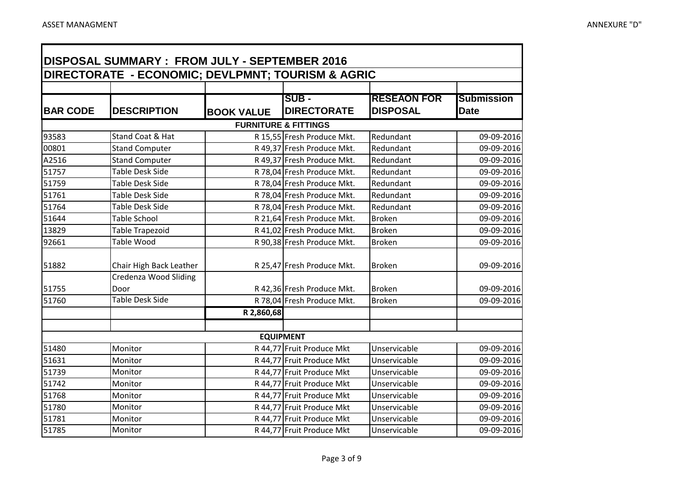**TE** 

÷

| <b>DISPOSAL SUMMARY: FROM JULY - SEPTEMBER 2016</b><br>DIRECTORATE - ECONOMIC; DEVLPMNT; TOURISM & AGRIC |                               |                   |                                     |                                       |                                  |  |
|----------------------------------------------------------------------------------------------------------|-------------------------------|-------------------|-------------------------------------|---------------------------------------|----------------------------------|--|
|                                                                                                          |                               |                   |                                     |                                       |                                  |  |
| <b>BAR CODE</b>                                                                                          | <b>DESCRIPTION</b>            | <b>BOOK VALUE</b> | <b>ISUB -</b><br><b>DIRECTORATE</b> | <b>RESEAON FOR</b><br><b>DISPOSAL</b> | <b>Submission</b><br><b>Date</b> |  |
|                                                                                                          |                               |                   | <b>FURNITURE &amp; FITTINGS</b>     |                                       |                                  |  |
| 93583                                                                                                    | Stand Coat & Hat              |                   | R 15,55 Fresh Produce Mkt.          | Redundant                             | 09-09-2016                       |  |
| 00801                                                                                                    | <b>Stand Computer</b>         |                   | R 49,37 Fresh Produce Mkt.          | Redundant                             | 09-09-2016                       |  |
| A2516                                                                                                    | <b>Stand Computer</b>         |                   | R 49,37 Fresh Produce Mkt.          | Redundant                             | 09-09-2016                       |  |
| 51757                                                                                                    | <b>Table Desk Side</b>        |                   | R 78,04 Fresh Produce Mkt.          | Redundant                             | 09-09-2016                       |  |
| 51759                                                                                                    | <b>Table Desk Side</b>        |                   | R 78,04 Fresh Produce Mkt.          | Redundant                             | 09-09-2016                       |  |
| 51761                                                                                                    | <b>Table Desk Side</b>        |                   | R 78,04 Fresh Produce Mkt.          | Redundant                             | 09-09-2016                       |  |
| 51764                                                                                                    | <b>Table Desk Side</b>        |                   | R 78,04 Fresh Produce Mkt.          | Redundant                             | 09-09-2016                       |  |
| 51644                                                                                                    | <b>Table School</b>           |                   | R 21,64 Fresh Produce Mkt.          | <b>Broken</b>                         | 09-09-2016                       |  |
| 13829                                                                                                    | <b>Table Trapezoid</b>        |                   | R 41,02 Fresh Produce Mkt.          | <b>Broken</b>                         | 09-09-2016                       |  |
| 92661                                                                                                    | <b>Table Wood</b>             |                   | R 90,38 Fresh Produce Mkt.          | <b>Broken</b>                         | 09-09-2016                       |  |
| 51882                                                                                                    | Chair High Back Leather       |                   | R 25,47 Fresh Produce Mkt.          | <b>Broken</b>                         | 09-09-2016                       |  |
| 51755                                                                                                    | Credenza Wood Sliding<br>Door |                   | R 42,36 Fresh Produce Mkt.          | <b>Broken</b>                         | 09-09-2016                       |  |
| 51760                                                                                                    | <b>Table Desk Side</b>        |                   | R 78,04 Fresh Produce Mkt.          | <b>Broken</b>                         | 09-09-2016                       |  |
|                                                                                                          |                               | R 2,860,68        |                                     |                                       |                                  |  |
|                                                                                                          |                               |                   | <b>EQUIPMENT</b>                    |                                       |                                  |  |
| 51480                                                                                                    | Monitor                       |                   | R 44,77 Fruit Produce Mkt           | Unservicable                          | 09-09-2016                       |  |
| 51631                                                                                                    | Monitor                       |                   | R 44,77 Fruit Produce Mkt           | Unservicable                          | 09-09-2016                       |  |
| 51739                                                                                                    | Monitor                       |                   | R 44,77 Fruit Produce Mkt           | Unservicable                          | 09-09-2016                       |  |
| 51742                                                                                                    | Monitor                       |                   | R 44,77 Fruit Produce Mkt           | Unservicable                          | 09-09-2016                       |  |
| 51768                                                                                                    | Monitor                       |                   | R 44,77 Fruit Produce Mkt           | Unservicable                          | 09-09-2016                       |  |
| 51780                                                                                                    | Monitor                       |                   | R 44,77 Fruit Produce Mkt           | Unservicable                          | 09-09-2016                       |  |
| 51781                                                                                                    | Monitor                       |                   | R 44,77 Fruit Produce Mkt           | Unservicable                          | 09-09-2016                       |  |
| 51785                                                                                                    | Monitor                       |                   | R 44,77 Fruit Produce Mkt           | Unservicable                          | 09-09-2016                       |  |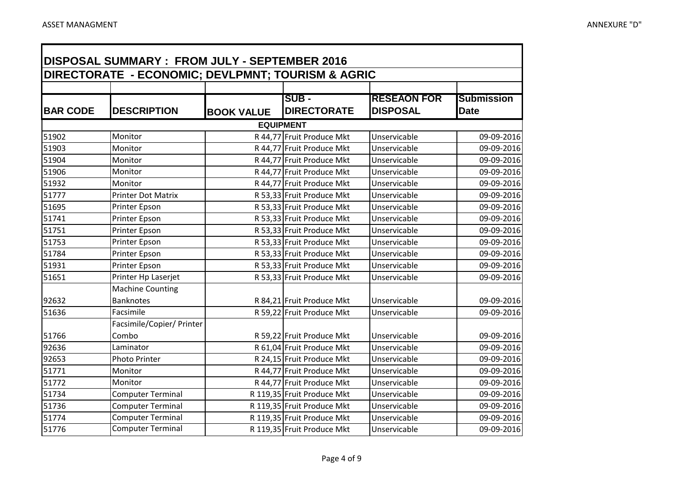- IT

۰

| <b>DISPOSAL SUMMARY: FROM JULY - SEPTEMBER 2016</b> |                                                   |                   |                            |                    |                   |  |
|-----------------------------------------------------|---------------------------------------------------|-------------------|----------------------------|--------------------|-------------------|--|
|                                                     | DIRECTORATE - ECONOMIC; DEVLPMNT; TOURISM & AGRIC |                   |                            |                    |                   |  |
|                                                     |                                                   |                   |                            |                    |                   |  |
|                                                     |                                                   |                   | <b>SUB -</b>               | <b>RESEAON FOR</b> | <b>Submission</b> |  |
| <b>BAR CODE</b>                                     | <b>DESCRIPTION</b>                                | <b>BOOK VALUE</b> | <b>DIRECTORATE</b>         | <b>DISPOSAL</b>    | <b>Date</b>       |  |
|                                                     |                                                   |                   | <b>EQUIPMENT</b>           |                    |                   |  |
| 51902                                               | Monitor                                           |                   | R 44,77 Fruit Produce Mkt  | Unservicable       | 09-09-2016        |  |
| 51903                                               | Monitor                                           |                   | R 44,77 Fruit Produce Mkt  | Unservicable       | 09-09-2016        |  |
| 51904                                               | Monitor                                           |                   | R 44,77 Fruit Produce Mkt  | Unservicable       | 09-09-2016        |  |
| 51906                                               | Monitor                                           |                   | R 44,77 Fruit Produce Mkt  | Unservicable       | 09-09-2016        |  |
| 51932                                               | Monitor                                           |                   | R 44,77 Fruit Produce Mkt  | Unservicable       | 09-09-2016        |  |
| 51777                                               | <b>Printer Dot Matrix</b>                         |                   | R 53,33 Fruit Produce Mkt  | Unservicable       | 09-09-2016        |  |
| 51695                                               | Printer Epson                                     |                   | R 53,33 Fruit Produce Mkt  | Unservicable       | 09-09-2016        |  |
| 51741                                               | Printer Epson                                     |                   | R 53,33 Fruit Produce Mkt  | Unservicable       | 09-09-2016        |  |
| 51751                                               | Printer Epson                                     |                   | R 53,33 Fruit Produce Mkt  | Unservicable       | 09-09-2016        |  |
| 51753                                               | Printer Epson                                     |                   | R 53,33 Fruit Produce Mkt  | Unservicable       | 09-09-2016        |  |
| 51784                                               | Printer Epson                                     |                   | R 53,33 Fruit Produce Mkt  | Unservicable       | 09-09-2016        |  |
| 51931                                               | Printer Epson                                     |                   | R 53,33 Fruit Produce Mkt  | Unservicable       | 09-09-2016        |  |
| 51651                                               | Printer Hp Laserjet                               |                   | R 53,33 Fruit Produce Mkt  | Unservicable       | 09-09-2016        |  |
|                                                     | <b>Machine Counting</b>                           |                   |                            |                    |                   |  |
| 92632                                               | <b>Banknotes</b>                                  |                   | R 84,21 Fruit Produce Mkt  | Unservicable       | 09-09-2016        |  |
| 51636                                               | Facsimile                                         |                   | R 59,22 Fruit Produce Mkt  | Unservicable       | 09-09-2016        |  |
|                                                     | Facsimile/Copier/ Printer                         |                   |                            |                    |                   |  |
| 51766                                               | Combo                                             |                   | R 59,22 Fruit Produce Mkt  | Unservicable       | 09-09-2016        |  |
| 92636                                               | Laminator                                         |                   | R 61,04 Fruit Produce Mkt  | Unservicable       | 09-09-2016        |  |
| 92653                                               | Photo Printer                                     |                   | R 24,15 Fruit Produce Mkt  | Unservicable       | 09-09-2016        |  |
| 51771                                               | Monitor                                           |                   | R 44,77 Fruit Produce Mkt  | Unservicable       | 09-09-2016        |  |
| 51772                                               | Monitor                                           |                   | R 44,77 Fruit Produce Mkt  | Unservicable       | 09-09-2016        |  |
| 51734                                               | <b>Computer Terminal</b>                          |                   | R 119,35 Fruit Produce Mkt | Unservicable       | 09-09-2016        |  |
| 51736                                               | <b>Computer Terminal</b>                          |                   | R 119,35 Fruit Produce Mkt | Unservicable       | 09-09-2016        |  |
| 51774                                               | <b>Computer Terminal</b>                          |                   | R 119,35 Fruit Produce Mkt | Unservicable       | 09-09-2016        |  |
| 51776                                               | <b>Computer Terminal</b>                          |                   | R 119,35 Fruit Produce Mkt | Unservicable       | 09-09-2016        |  |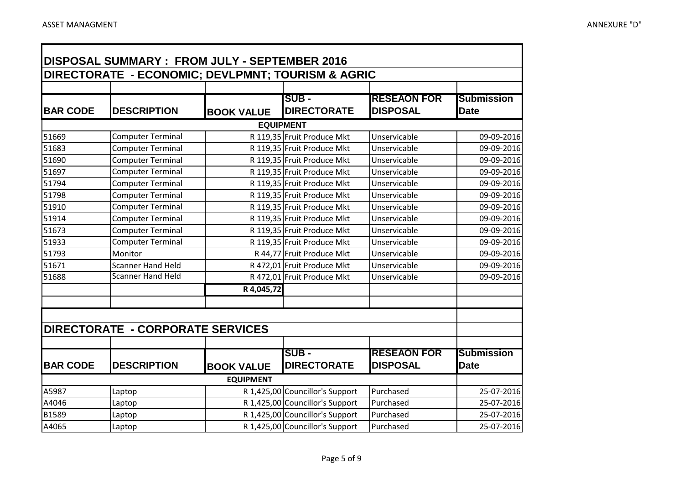**TE** 

÷

| DISPOSAL SUMMARY : FROM JULY - SEPTEMBER 2016 |                                                   |                   |                                 |                    |                   |  |
|-----------------------------------------------|---------------------------------------------------|-------------------|---------------------------------|--------------------|-------------------|--|
|                                               | DIRECTORATE - ECONOMIC; DEVLPMNT; TOURISM & AGRIC |                   |                                 |                    |                   |  |
|                                               |                                                   |                   |                                 |                    |                   |  |
|                                               |                                                   |                   | <b>ISUB -</b>                   | <b>RESEAON FOR</b> | <b>Submission</b> |  |
| <b>BAR CODE</b>                               | <b>DESCRIPTION</b>                                | <b>BOOK VALUE</b> | <b>DIRECTORATE</b>              | <b>DISPOSAL</b>    | <b>Date</b>       |  |
|                                               |                                                   |                   | <b>EQUIPMENT</b>                |                    |                   |  |
| 51669                                         | <b>Computer Terminal</b>                          |                   | R 119,35 Fruit Produce Mkt      | Unservicable       | 09-09-2016        |  |
| 51683                                         | <b>Computer Terminal</b>                          |                   | R 119,35 Fruit Produce Mkt      | Unservicable       | 09-09-2016        |  |
| 51690                                         | <b>Computer Terminal</b>                          |                   | R 119,35 Fruit Produce Mkt      | Unservicable       | 09-09-2016        |  |
| 51697                                         | <b>Computer Terminal</b>                          |                   | R 119,35 Fruit Produce Mkt      | Unservicable       | 09-09-2016        |  |
| 51794                                         | <b>Computer Terminal</b>                          |                   | R 119,35 Fruit Produce Mkt      | Unservicable       | 09-09-2016        |  |
| 51798                                         | <b>Computer Terminal</b>                          |                   | R 119,35 Fruit Produce Mkt      | Unservicable       | 09-09-2016        |  |
| 51910                                         | <b>Computer Terminal</b>                          |                   | R 119,35 Fruit Produce Mkt      | Unservicable       | 09-09-2016        |  |
| 51914                                         | <b>Computer Terminal</b>                          |                   | R 119,35 Fruit Produce Mkt      | Unservicable       | 09-09-2016        |  |
| 51673                                         | <b>Computer Terminal</b>                          |                   | R 119,35 Fruit Produce Mkt      | Unservicable       | 09-09-2016        |  |
| 51933                                         | <b>Computer Terminal</b>                          |                   | R 119,35 Fruit Produce Mkt      | Unservicable       | 09-09-2016        |  |
| 51793                                         | Monitor                                           |                   | R 44,77 Fruit Produce Mkt       | Unservicable       | 09-09-2016        |  |
| 51671                                         | <b>Scanner Hand Held</b>                          |                   | R 472,01 Fruit Produce Mkt      | Unservicable       | 09-09-2016        |  |
| 51688                                         | <b>Scanner Hand Held</b>                          |                   | R 472,01 Fruit Produce Mkt      | Unservicable       | 09-09-2016        |  |
|                                               |                                                   | R 4,045,72        |                                 |                    |                   |  |
|                                               |                                                   |                   |                                 |                    |                   |  |
|                                               |                                                   |                   |                                 |                    |                   |  |
|                                               | DIRECTORATE - CORPORATE SERVICES                  |                   |                                 |                    |                   |  |
|                                               |                                                   |                   |                                 |                    |                   |  |
|                                               |                                                   |                   | <b>SUB -</b>                    | <b>RESEAON FOR</b> | <b>Submission</b> |  |
| <b>BAR CODE</b>                               | <b>DESCRIPTION</b>                                | <b>BOOK VALUE</b> | <b>DIRECTORATE</b>              | <b>DISPOSAL</b>    | <b>Date</b>       |  |
|                                               |                                                   | <b>EQUIPMENT</b>  |                                 |                    |                   |  |
| A5987                                         | Laptop                                            |                   | R 1,425,00 Councillor's Support | Purchased          | 25-07-2016        |  |
| A4046                                         | Laptop                                            |                   | R 1,425,00 Councillor's Support | Purchased          | 25-07-2016        |  |
| B1589                                         | Laptop                                            |                   | R 1,425,00 Councillor's Support | Purchased          | 25-07-2016        |  |
| A4065                                         | Laptop                                            |                   | R 1,425,00 Councillor's Support | Purchased          | 25-07-2016        |  |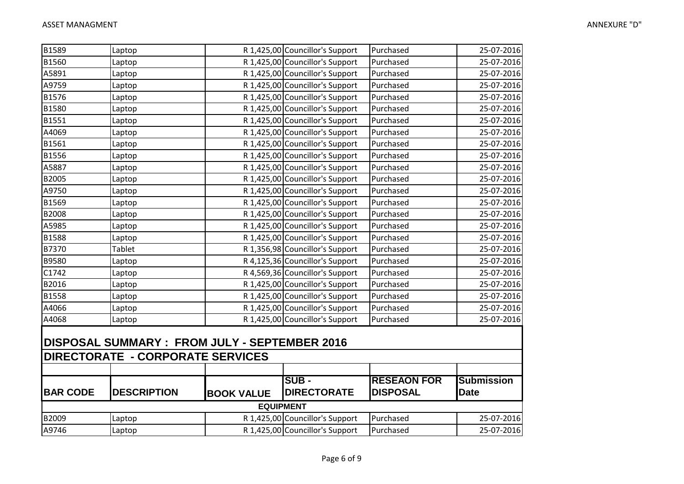| B1589           | Laptop                                                                                  |                   | R 1,425,00 Councillor's Support | Purchased          | 25-07-2016        |
|-----------------|-----------------------------------------------------------------------------------------|-------------------|---------------------------------|--------------------|-------------------|
| B1560           | Laptop                                                                                  |                   | R 1,425,00 Councillor's Support | Purchased          | 25-07-2016        |
| A5891           | Laptop                                                                                  |                   | R 1,425,00 Councillor's Support | Purchased          | 25-07-2016        |
| A9759           | Laptop                                                                                  |                   | R 1,425,00 Councillor's Support | Purchased          | 25-07-2016        |
| B1576           | Laptop                                                                                  |                   | R 1,425,00 Councillor's Support | Purchased          | 25-07-2016        |
| B1580           | Laptop                                                                                  |                   | R 1,425,00 Councillor's Support | Purchased          | 25-07-2016        |
| B1551           | Laptop                                                                                  |                   | R 1,425,00 Councillor's Support | Purchased          | 25-07-2016        |
| A4069           | Laptop                                                                                  |                   | R 1,425,00 Councillor's Support | Purchased          | 25-07-2016        |
| B1561           | Laptop                                                                                  |                   | R 1,425,00 Councillor's Support | Purchased          | 25-07-2016        |
| <b>B1556</b>    | Laptop                                                                                  |                   | R 1,425,00 Councillor's Support | Purchased          | 25-07-2016        |
| A5887           | Laptop                                                                                  |                   | R 1,425,00 Councillor's Support | Purchased          | 25-07-2016        |
| B2005           | Laptop                                                                                  |                   | R 1,425,00 Councillor's Support | Purchased          | 25-07-2016        |
| A9750           | Laptop                                                                                  |                   | R 1,425,00 Councillor's Support | Purchased          | 25-07-2016        |
| B1569           | Laptop                                                                                  |                   | R 1,425,00 Councillor's Support | Purchased          | 25-07-2016        |
| B2008           | Laptop                                                                                  |                   | R 1,425,00 Councillor's Support | Purchased          | 25-07-2016        |
| A5985           | Laptop                                                                                  |                   | R 1,425,00 Councillor's Support | Purchased          | 25-07-2016        |
| B1588           | Laptop                                                                                  |                   | R 1,425,00 Councillor's Support | Purchased          | 25-07-2016        |
| B7370           | Tablet                                                                                  |                   | R 1,356,98 Councillor's Support | Purchased          | 25-07-2016        |
| <b>B9580</b>    | Laptop                                                                                  |                   | R 4,125,36 Councillor's Support | Purchased          | 25-07-2016        |
| C1742           | Laptop                                                                                  |                   | R 4,569,36 Councillor's Support | Purchased          | 25-07-2016        |
| B2016           | Laptop                                                                                  |                   | R 1,425,00 Councillor's Support | Purchased          | 25-07-2016        |
| B1558           | Laptop                                                                                  |                   | R 1,425,00 Councillor's Support | Purchased          | 25-07-2016        |
| A4066           | Laptop                                                                                  |                   | R 1,425,00 Councillor's Support | Purchased          | 25-07-2016        |
| A4068           | Laptop                                                                                  |                   | R 1,425,00 Councillor's Support | Purchased          | 25-07-2016        |
|                 | DISPOSAL SUMMARY: FROM JULY - SEPTEMBER 2016<br><b>DIRECTORATE - CORPORATE SERVICES</b> |                   |                                 |                    |                   |
|                 |                                                                                         |                   |                                 |                    |                   |
|                 |                                                                                         |                   | <b>ISUB -</b>                   | <b>RESEAON FOR</b> | <b>Submission</b> |
| <b>BAR CODE</b> | <b>DESCRIPTION</b>                                                                      | <b>BOOK VALUE</b> | <b>DIRECTORATE</b>              | <b>DISPOSAL</b>    | <b>Date</b>       |
|                 |                                                                                         |                   | <b>EQUIPMENT</b>                |                    |                   |
| B2009           | Laptop                                                                                  |                   | R 1,425,00 Councillor's Support | Purchased          | 25-07-2016        |
| A9746           | Laptop                                                                                  |                   | R 1,425,00 Councillor's Support | Purchased          | 25-07-2016        |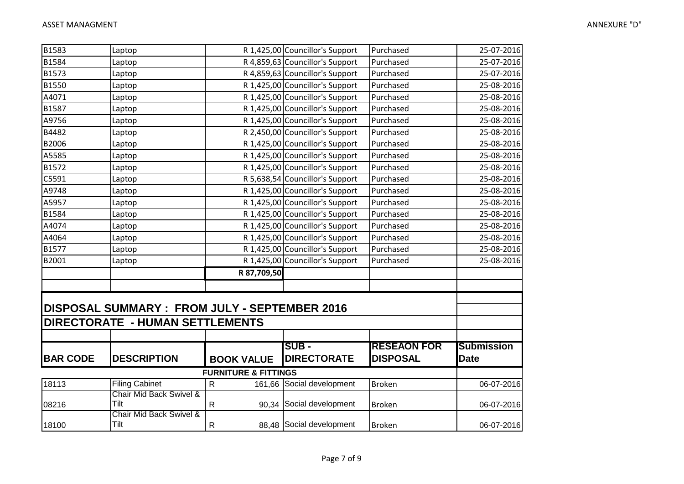| B1583           | Laptop                                              |                                 | R 1,425,00 Councillor's Support | Purchased          | 25-07-2016        |
|-----------------|-----------------------------------------------------|---------------------------------|---------------------------------|--------------------|-------------------|
| B1584           | Laptop                                              |                                 | R 4,859,63 Councillor's Support | Purchased          | 25-07-2016        |
| B1573           | Laptop                                              |                                 | R 4,859,63 Councillor's Support | Purchased          | 25-07-2016        |
| B1550           | Laptop                                              |                                 | R 1,425,00 Councillor's Support | Purchased          | 25-08-2016        |
| A4071           | Laptop                                              |                                 | R 1,425,00 Councillor's Support | Purchased          | 25-08-2016        |
| B1587           | Laptop                                              |                                 | R 1,425,00 Councillor's Support | Purchased          | 25-08-2016        |
| A9756           | Laptop                                              |                                 | R 1,425,00 Councillor's Support | Purchased          | 25-08-2016        |
| B4482           | Laptop                                              |                                 | R 2,450,00 Councillor's Support | Purchased          | 25-08-2016        |
| B2006           | Laptop                                              |                                 | R 1,425,00 Councillor's Support | Purchased          | 25-08-2016        |
| A5585           | Laptop                                              |                                 | R 1,425,00 Councillor's Support | Purchased          | 25-08-2016        |
| B1572           | Laptop                                              |                                 | R 1,425,00 Councillor's Support | Purchased          | 25-08-2016        |
| C5591           | Laptop                                              |                                 | R 5,638,54 Councillor's Support | Purchased          | 25-08-2016        |
| A9748           | Laptop                                              |                                 | R 1,425,00 Councillor's Support | Purchased          | 25-08-2016        |
| A5957           | Laptop                                              |                                 | R 1,425,00 Councillor's Support | Purchased          | 25-08-2016        |
| B1584           | Laptop                                              |                                 | R 1,425,00 Councillor's Support | Purchased          | 25-08-2016        |
| A4074           | Laptop                                              |                                 | R 1,425,00 Councillor's Support | Purchased          | 25-08-2016        |
| A4064           | Laptop                                              |                                 | R 1,425,00 Councillor's Support | Purchased          | 25-08-2016        |
| B1577           | Laptop                                              |                                 | R 1,425,00 Councillor's Support | Purchased          | 25-08-2016        |
| B2001           | Laptop                                              |                                 | R 1,425,00 Councillor's Support | Purchased          | 25-08-2016        |
|                 |                                                     | R 87,709,50                     |                                 |                    |                   |
|                 |                                                     |                                 |                                 |                    |                   |
|                 |                                                     |                                 |                                 |                    |                   |
|                 | <b>DISPOSAL SUMMARY: FROM JULY - SEPTEMBER 2016</b> |                                 |                                 |                    |                   |
|                 | <b>DIRECTORATE - HUMAN SETTLEMENTS</b>              |                                 |                                 |                    |                   |
|                 |                                                     |                                 |                                 |                    |                   |
|                 |                                                     |                                 | <b>SUB -</b>                    | <b>RESEAON FOR</b> | <b>Submission</b> |
| <b>BAR CODE</b> | <b>DESCRIPTION</b>                                  | <b>BOOK VALUE</b>               | <b>DIRECTORATE</b>              | <b>DISPOSAL</b>    | <b>Date</b>       |
|                 |                                                     |                                 |                                 |                    |                   |
|                 |                                                     | <b>FURNITURE &amp; FITTINGS</b> |                                 |                    |                   |
| 18113           | <b>Filing Cabinet</b><br>Chair Mid Back Swivel &    | $\mathsf{R}$<br>161,66          | Social development              | <b>Broken</b>      | 06-07-2016        |
| 08216           | Tilt                                                | $\mathsf{R}$                    | 90,34 Social development        | <b>Broken</b>      | 06-07-2016        |
|                 | Chair Mid Back Swivel &                             |                                 |                                 |                    |                   |
| 18100           | Tilt                                                | $\mathsf{R}$                    | 88,48 Social development        | <b>Broken</b>      | 06-07-2016        |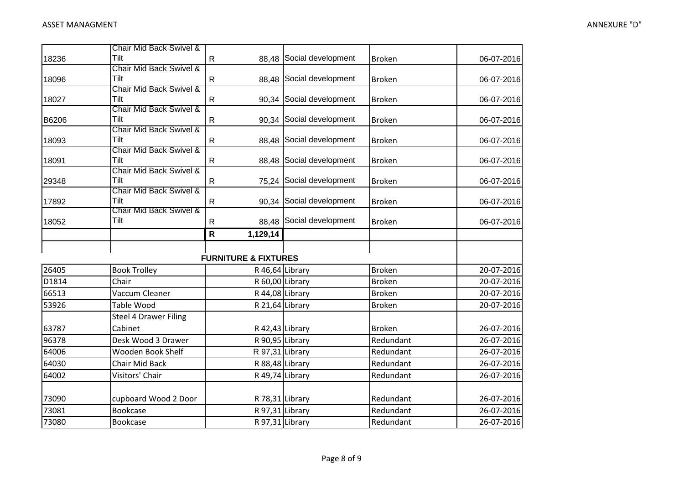|       | Chair Mid Back Swivel &         |                                 |                          |               |            |
|-------|---------------------------------|---------------------------------|--------------------------|---------------|------------|
| 18236 | Tilt                            | $\mathsf{R}$                    | 88,48 Social development | <b>Broken</b> | 06-07-2016 |
|       | Chair Mid Back Swivel &         |                                 |                          |               |            |
| 18096 | Tilt                            | $\mathsf{R}$                    | 88,48 Social development | <b>Broken</b> | 06-07-2016 |
|       | Chair Mid Back Swivel &         |                                 |                          |               |            |
| 18027 | Tilt                            | ${\sf R}$                       | 90,34 Social development | Broken        | 06-07-2016 |
|       | Chair Mid Back Swivel &         |                                 |                          |               |            |
| B6206 | Tilt<br>Chair Mid Back Swivel & | $\mathsf{R}$                    | 90,34 Social development | <b>Broken</b> | 06-07-2016 |
| 18093 | Tilt                            | $\mathsf{R}$                    | 88,48 Social development | Broken        |            |
|       | Chair Mid Back Swivel &         |                                 |                          |               | 06-07-2016 |
| 18091 | Tilt                            | $\mathsf{R}$                    | 88,48 Social development | <b>Broken</b> | 06-07-2016 |
|       | Chair Mid Back Swivel &         |                                 |                          |               |            |
| 29348 | Tilt                            | $\mathsf R$                     | 75,24 Social development | <b>Broken</b> | 06-07-2016 |
|       | Chair Mid Back Swivel &         |                                 |                          |               |            |
| 17892 | Tilt                            | $\mathsf{R}$                    | 90,34 Social development | <b>Broken</b> | 06-07-2016 |
|       | Chair Mid Back Swivel &         |                                 |                          |               |            |
| 18052 | Tilt                            | $\mathsf{R}$<br>88,48           | Social development       | <b>Broken</b> | 06-07-2016 |
|       |                                 | ${\sf R}$<br>1,129,14           |                          |               |            |
|       |                                 |                                 |                          |               |            |
|       |                                 | <b>FURNITURE &amp; FIXTURES</b> |                          |               |            |
| 26405 | <b>Book Trolley</b>             |                                 | R 46,64 Library          | <b>Broken</b> | 20-07-2016 |
| D1814 | Chair                           |                                 | R 60,00 Library          | <b>Broken</b> | 20-07-2016 |
| 66513 | Vaccum Cleaner                  |                                 | R 44,08 Library          | <b>Broken</b> | 20-07-2016 |
| 53926 | <b>Table Wood</b>               |                                 | R 21,64 Library          | <b>Broken</b> | 20-07-2016 |
|       | <b>Steel 4 Drawer Filing</b>    |                                 |                          |               |            |
| 63787 | Cabinet                         |                                 | R 42,43 Library          | <b>Broken</b> | 26-07-2016 |
| 96378 | Desk Wood 3 Drawer              |                                 | R 90,95 Library          | Redundant     | 26-07-2016 |
| 64006 | Wooden Book Shelf               |                                 | R 97,31 Library          | Redundant     | 26-07-2016 |
| 64030 | Chair Mid Back                  |                                 | R 88,48 Library          | Redundant     | 26-07-2016 |
| 64002 | Visitors' Chair                 |                                 | R 49,74 Library          | Redundant     | 26-07-2016 |
|       |                                 |                                 |                          |               |            |
| 73090 | cupboard Wood 2 Door            |                                 | R 78,31 Library          | Redundant     | 26-07-2016 |
| 73081 | Bookcase                        |                                 | R 97,31 Library          | Redundant     | 26-07-2016 |
| 73080 | Bookcase                        |                                 | R 97,31 Library          | Redundant     | 26-07-2016 |
|       |                                 |                                 |                          |               |            |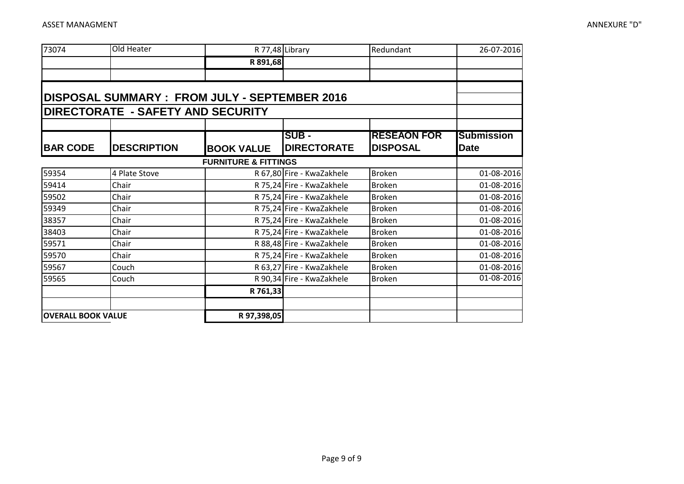| 73074                     | Old Heater                                          |                                 | R 77,48 Library           | Redundant          | 26-07-2016        |
|---------------------------|-----------------------------------------------------|---------------------------------|---------------------------|--------------------|-------------------|
|                           |                                                     | R 891,68                        |                           |                    |                   |
|                           |                                                     |                                 |                           |                    |                   |
|                           |                                                     |                                 |                           |                    |                   |
|                           | <b>DISPOSAL SUMMARY: FROM JULY - SEPTEMBER 2016</b> |                                 |                           |                    |                   |
|                           | <b>DIRECTORATE - SAFETY AND SECURITY</b>            |                                 |                           |                    |                   |
|                           |                                                     |                                 |                           |                    |                   |
|                           |                                                     |                                 | SUB -                     | <b>RESEAON FOR</b> | <b>Submission</b> |
| <b>BAR CODE</b>           | <b>DESCRIPTION</b>                                  | <b>BOOK VALUE</b>               | <b>DIRECTORATE</b>        | <b>DISPOSAL</b>    | <b>Date</b>       |
|                           |                                                     | <b>FURNITURE &amp; FITTINGS</b> |                           |                    |                   |
| 59354                     | 4 Plate Stove                                       |                                 | R 67,80 Fire - KwaZakhele | <b>Broken</b>      | 01-08-2016        |
| 59414                     | Chair                                               |                                 | R 75,24 Fire - KwaZakhele | <b>Broken</b>      | 01-08-2016        |
| 59502                     | Chair                                               |                                 | R 75,24 Fire - KwaZakhele | <b>Broken</b>      | 01-08-2016        |
| 59349                     | Chair                                               |                                 | R 75,24 Fire - KwaZakhele | <b>Broken</b>      | 01-08-2016        |
| 38357                     | Chair                                               |                                 | R 75,24 Fire - KwaZakhele | <b>Broken</b>      | 01-08-2016        |
| 38403                     | Chair                                               |                                 | R 75,24 Fire - KwaZakhele | <b>Broken</b>      | 01-08-2016        |
| 59571                     | Chair                                               |                                 | R 88,48 Fire - KwaZakhele | <b>Broken</b>      | 01-08-2016        |
| 59570                     | Chair                                               |                                 | R 75,24 Fire - KwaZakhele | <b>Broken</b>      | 01-08-2016        |
| 59567                     | Couch                                               |                                 | R 63,27 Fire - KwaZakhele | <b>Broken</b>      | 01-08-2016        |
| 59565                     | Couch                                               |                                 | R 90,34 Fire - KwaZakhele | <b>Broken</b>      | 01-08-2016        |
|                           |                                                     | R 761,33                        |                           |                    |                   |
|                           |                                                     |                                 |                           |                    |                   |
| <b>OVERALL BOOK VALUE</b> |                                                     | R 97,398,05                     |                           |                    |                   |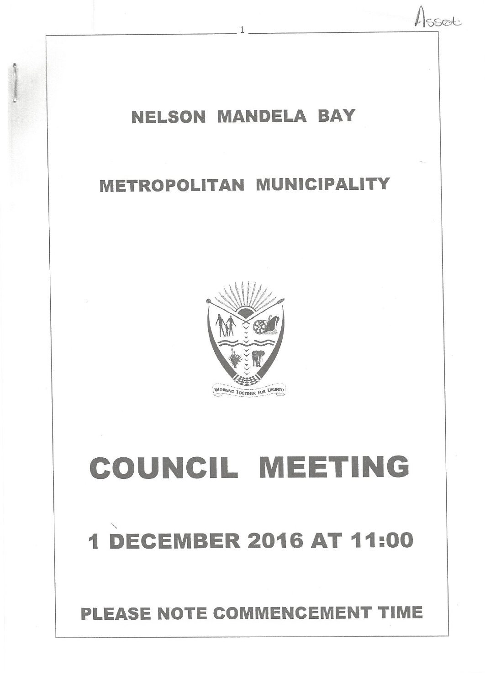